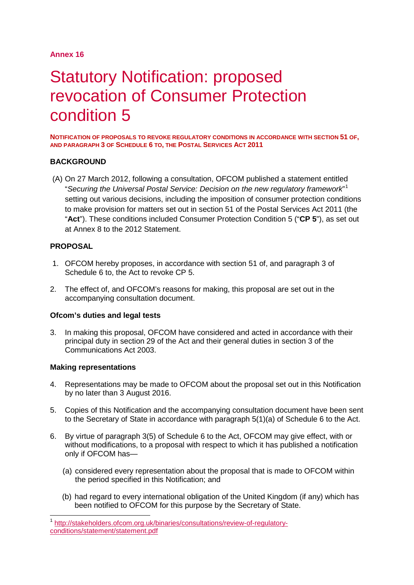# **Annex 16**

# Statutory Notification: proposed revocation of Consumer Protection condition 5

**NOTIFICATION OF PROPOSALS TO REVOKE REGULATORY CONDITIONS IN ACCORDANCE WITH SECTION 51 OF, AND PARAGRAPH 3 OF SCHEDULE 6 TO, THE POSTAL SERVICES ACT 2011**

# **BACKGROUND**

(A) On 27 March 2012, following a consultation, OFCOM published a statement entitled "*Securing the Universal Postal Service: Decision on the new regulatory framework*" [1](#page-0-0) setting out various decisions, including the imposition of consumer protection conditions to make provision for matters set out in section 51 of the Postal Services Act 2011 (the "**Act**"). These conditions included Consumer Protection Condition 5 ("**CP 5**"), as set out at Annex 8 to the 2012 Statement.

# **PROPOSAL**

- 1. OFCOM hereby proposes, in accordance with section 51 of, and paragraph 3 of Schedule 6 to, the Act to revoke CP 5.
- 2. The effect of, and OFCOM's reasons for making, this proposal are set out in the accompanying consultation document.

#### **Ofcom's duties and legal tests**

3. In making this proposal, OFCOM have considered and acted in accordance with their principal duty in section 29 of the Act and their general duties in section 3 of the Communications Act 2003.

#### **Making representations**

- 4. Representations may be made to OFCOM about the proposal set out in this Notification by no later than 3 August 2016.
- 5. Copies of this Notification and the accompanying consultation document have been sent to the Secretary of State in accordance with paragraph 5(1)(a) of Schedule 6 to the Act.
- 6. By virtue of paragraph 3(5) of Schedule 6 to the Act, OFCOM may give effect, with or without modifications, to a proposal with respect to which it has published a notification only if OFCOM has—
	- (a) considered every representation about the proposal that is made to OFCOM within the period specified in this Notification; and
	- (b) had regard to every international obligation of the United Kingdom (if any) which has been notified to OFCOM for this purpose by the Secretary of State.

<span id="page-0-0"></span> <sup>1</sup> [http://stakeholders.ofcom.org.uk/binaries/consultations/review-of-regulatory](http://stakeholders.ofcom.org.uk/binaries/consultations/review-of-regulatory-conditions/statement/statement.pdf)[conditions/statement/statement.pdf](http://stakeholders.ofcom.org.uk/binaries/consultations/review-of-regulatory-conditions/statement/statement.pdf)